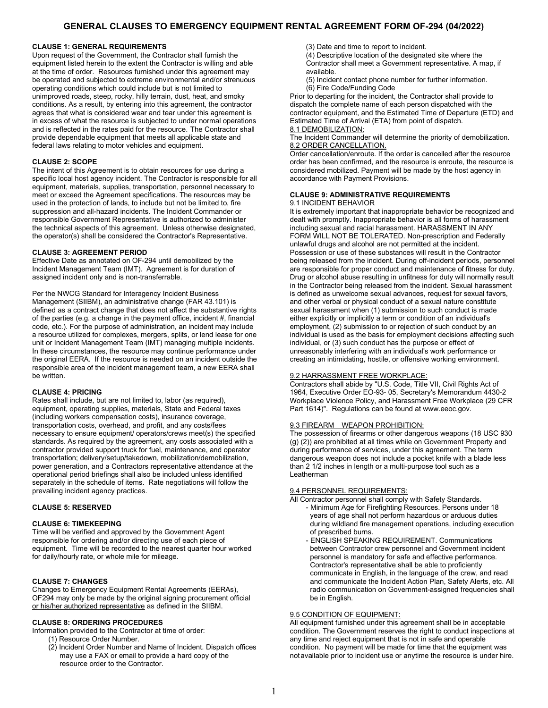# **GENERAL CLAUSES TO EMERGENCY EQUIPMENT RENTAL AGREEMENT FORM OF-294 (04/2022)**

#### **CLAUSE 1: GENERAL REQUIREMENTS**

Upon request of the Government, the Contractor shall furnish the equipment listed herein to the extent the Contractor is willing and able at the time of order. Resources furnished under this agreement may be operated and subjected to extreme environmental and/or strenuous operating conditions which could include but is not limited to unimproved roads, steep, rocky, hilly terrain, dust, heat, and smoky conditions. As a result, by entering into this agreement, the contractor agrees that what is considered wear and tear under this agreement is in excess of what the resource is subjected to under normal operations and is reflected in the rates paid for the resource. The Contractor shall provide dependable equipment that meets all applicable state and federal laws relating to motor vehicles and equipment.

#### **CLAUSE 2: SCOPE**

The intent of this Agreement is to obtain resources for use during a specific local host agency incident. The Contractor is responsible for all equipment, materials, supplies, transportation, personnel necessary to meet or exceed the Agreement specifications. The resources may be used in the protection of lands, to include but not be limited to, fire suppression and all-hazard incidents. The Incident Commander or responsible Government Representative is authorized to administer the technical aspects of this agreement. Unless otherwise designated, the operator(s) shall be considered the Contractor's Representative.

#### **CLAUSE 3: AGREEMENT PERIOD**

Effective Date as annotated on OF-294 until demobilized by the Incident Management Team (IMT). Agreement is for duration of assigned incident only and is non-transferrable.

Per the NWCG Standard for Interagency Incident Business Management (SIIBM), an administrative change (FAR 43.101) is defined as a contract change that does not affect the substantive rights of the parties (e.g. a change in the payment office, incident #, financial code, etc.). For the purpose of administration, an incident may include a resource utilized for complexes, mergers, splits, or lend lease for one unit or Incident Management Team (IMT) managing multiple incidents. In these circumstances, the resource may continue performance under the original EERA. If the resource is needed on an incident outside the responsible area of the incident management team, a new EERA shall be written.

#### **CLAUSE 4: PRICING**

Rates shall include, but are not limited to, labor (as required), equipment, operating supplies, materials, State and Federal taxes (including workers compensation costs), insurance coverage, transportation costs, overhead, and profit, and any costs/fees necessary to ensure equipment/ operators/crews meet(s) the specified standards. As required by the agreement, any costs associated with a contractor provided support truck for fuel, maintenance, and operator transportation; delivery/setup/takedown, mobilization/demobilization, power generation, and a Contractors representative attendance at the operational period briefings shall also be included unless identified separately in the schedule of items. Rate negotiations will follow the prevailing incident agency practices.

## **CLAUSE 5: RESERVED**

## **CLAUSE 6: TIMEKEEPING**

Time will be verified and approved by the Government Agent responsible for ordering and/or directing use of each piece of equipment. Time will be recorded to the nearest quarter hour worked for daily/hourly rate, or whole mile for mileage.

## **CLAUSE 7: CHANGES**

Changes to Emergency Equipment Rental Agreements (EERAs), OF294 may only be made by the original signing procurement official or his/her authorized representative as defined in the SIIBM.

#### **CLAUSE 8: ORDERING PROCEDURES**

Information provided to the Contractor at time of order:

- (1) Resource Order Number.
- (2) Incident Order Number and Name of Incident. Dispatch offices may use a FAX or email to provide a hard copy of the resource order to the Contractor.

(3) Date and time to report to incident.

- (4) Descriptive location of the designated site where the Contractor shall meet a Government representative. A map, if available.
- (5) Incident contact phone number for further information. (6) Fire Code/Funding Code

Prior to departing for the incident, the Contractor shall provide to dispatch the complete name of each person dispatched with the contractor equipment, and the Estimated Time of Departure (ETD) and Estimated Time of Arrival (ETA) from point of dispatch. 8.1 DEMOBILIZATION:

The Incident Commander will determine the priority of demobilization. 8.2 ORDER CANCELLATION.

Order cancellation/enroute. If the order is cancelled after the resource order has been confirmed, and the resource is enroute, the resource is considered mobilized. Payment will be made by the host agency in accordance with Payment Provisions.

## **CLAUSE 9: ADMINISTRATIVE REQUIREMENTS**

## 9.1 INCIDENT BEHAVIOR

It is extremely important that inappropriate behavior be recognized and dealt with promptly. Inappropriate behavior is all forms of harassment including sexual and racial harassment. HARASSMENT IN ANY FORM WILL NOT BE TOLERATED. Non-prescription and Federally unlawful drugs and alcohol are not permitted at the incident. Possession or use of these substances will result in the Contractor being released from the incident. During off-incident periods, personnel are responsible for proper conduct and maintenance of fitness for duty. Drug or alcohol abuse resulting in unfitness for duty will normally result in the Contractor being released from the incident. Sexual harassment is defined as unwelcome sexual advances, request for sexual favors, and other verbal or physical conduct of a sexual nature constitute sexual harassment when (1) submission to such conduct is made either explicitly or implicitly a term or condition of an individual's employment, (2) submission to or rejection of such conduct by an individual is used as the basis for employment decisions affecting such individual, or (3) such conduct has the purpose or effect of unreasonably interfering with an individual's work performance or creating an intimidating, hostile, or offensive working environment.

#### 9.2 HARRASSMENT FREE WORKPLACE:

Contractors shall abide by "U.S. Code, Title VII, Civil Rights Act of 1964, Executive Order EO-93- 05, Secretary's Memorandum 4430-2 Workplace Violence Policy, and Harassment Free Workplace (29 CFR Part 1614)". Regulations can be found at www.eeoc.gov.

#### 9.3 FIREARM – WEAPON PROHIBITION:

The possession of firearms or other dangerous weapons (18 USC 930 (g) (2)) are prohibited at all times while on Government Property and during performance of services, under this agreement. The term dangerous weapon does not include a pocket knife with a blade less than 2 1/2 inches in length or a multi-purpose tool such as a Leatherman

#### 9.4 PERSONNEL REQUIREMENTS:

- All Contractor personnel shall comply with Safety Standards. - Minimum Age for Firefighting Resources. Persons under 18 years of age shall not perform hazardous or arduous duties during wildland fire management operations, including execution of prescribed burns.
	- ENGLISH SPEAKING REQUIREMENT. Communications between Contractor crew personnel and Government incident personnel is mandatory for safe and effective performance. Contractor's representative shall be able to proficiently communicate in English, in the language of the crew, and read and communicate the Incident Action Plan, Safety Alerts, etc. All radio communication on Government-assigned frequencies shall be in English.

## **9.5 CONDITION OF EQUIPMENT:**

All equipment furnished under this agreement shall be in acceptable condition. The Government reserves the right to conduct inspections at any time and reject equipment that is not in safe and operable condition. No payment will be made for time that the equipment was notavailable prior to incident use or anytime the resource is under hire.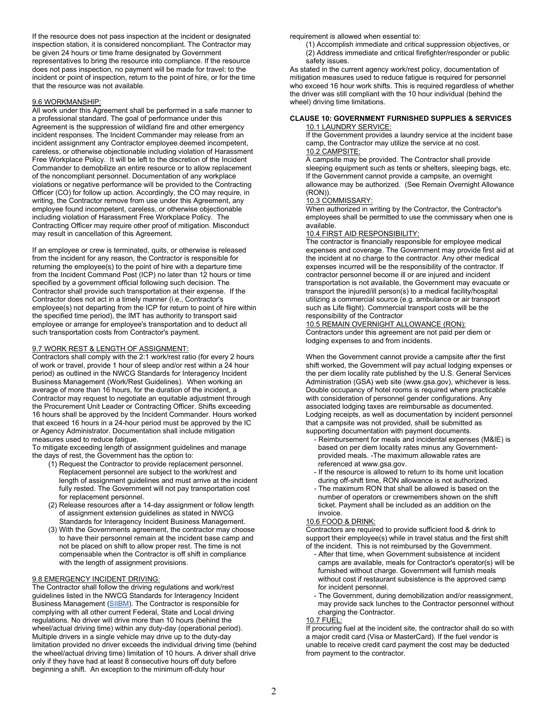If the resource does not pass inspection at the incident or designated inspection station, it is considered noncompliant. The Contractor may be given 24 hours or time frame designated by Government representatives to bring the resource into compliance. If the resource does not pass inspection, no payment will be made for travel: to the incident or point of inspection, return to the point of hire, or for the time that the resource was not available.

#### 9.6 WORKMANSHIP:

All work under this Agreement shall be performed in a safe manner to a professional standard. The goal of performance under this Agreement is the suppression of wildland fire and other emergency incident responses. The Incident Commander may release from an incident assignment any Contractor employee deemed incompetent, careless, or otherwise objectionable including violation of Harassment Free Workplace Policy. It will be left to the discretion of the Incident Commander to demobilize an entire resource or to allow replacement of the noncompliant personnel. Documentation of any workplace violations or negative performance will be provided to the Contracting Officer (CO) for follow up action. Accordingly, the CO may require, in writing, the Contractor remove from use under this Agreement, any employee found incompetent, careless, or otherwise objectionable including violation of Harassment Free Workplace Policy. The Contracting Officer may require other proof of mitigation. Misconduct may result in cancellation of this Agreement.

If an employee or crew is terminated, quits, or otherwise is released from the incident for any reason, the Contractor is responsible for returning the employee(s) to the point of hire with a departure time from the Incident Command Post (ICP) no later than 12 hours or time specified by a government official following such decision. The Contractor shall provide such transportation at their expense. If the Contractor does not act in a timely manner (i.e., Contractor's employee(s) not departing from the ICP for return to point of hire within the specified time period), the IMT has authority to transport said employee or arrange for employee's transportation and to deduct all such transportation costs from Contractor's payment.

## 9.7 WORK REST & LENGTH OF ASSIGNMENT:

Contractors shall comply with the 2:1 work/rest ratio (for every 2 hours of work or travel, provide 1 hour of sleep and/or rest within a 24 hour period) as outlined in the NWCG Standards for Interagency Incident Business Management (Work/Rest Guidelines). When working an average of more than 16 hours, for the duration of the incident, a Contractor may request to negotiate an equitable adjustment through the Procurement Unit Leader or Contracting Officer. Shifts exceeding 16 hours shall be approved by the Incident Commander. Hours worked that exceed 16 hours in a 24-hour period must be approved by the IC or Agency Administrator. Documentation shall include mitigation measures used to reduce fatigue.

To mitigate exceeding length of assignment guidelines and manage the days of rest, the Government has the option to:

- (1) Request the Contractor to provide replacement personnel. Replacement personnel are subject to the work/rest and length of assignment guidelines and must arrive at the incident fully rested. The Government will not pay transportation cost for replacement personnel.
- (2) Release resources after a 14-day assignment or follow length of assignment extension guidelines as stated in NWCG Standards for Interagency Incident Business Management.
- (3) With the Governments agreement, the contractor may choose to have their personnel remain at the incident base camp and not be placed on shift to allow proper rest. The time is not compensable when the Contractor is off shift in compliance with the length of assignment provisions.

## 9.8 EMERGENCY INCIDENT DRIVING:

The Contractor shall follow the driving regulations and work/rest guidelines listed in the NWCG Standards for Interagency Incident Business Management [\(SIIBM\)](https://www.nwcg.gov/sites/default/files/publications/pms902.pdf). The Contractor is responsible for complying with all other current Federal, State and Local driving regulations. No driver will drive more than 10 hours (behind the wheel/actual driving time) within any duty-day (operational period). Multiple drivers in a single vehicle may drive up to the duty-day limitation provided no driver exceeds the individual driving time (behind the wheel/actual driving time) limitation of 10 hours. A driver shall drive only if they have had at least 8 consecutive hours off duty before beginning a shift. An exception to the minimum off-duty hour

requirement is allowed when essential to:

(1) Accomplish immediate and critical suppression objectives, or (2) Address immediate and critical firefighter/responder or public safety issues.

As stated in the current agency work/rest policy, documentation of mitigation measures used to reduce fatigue is required for personnel who exceed 16 hour work shifts. This is required regardless of whether the driver was still compliant with the 10 hour individual (behind the wheel) driving time limitations.

#### **CLAUSE 10: GOVERNMENT FURNISHED SUPPLIES & SERVICES** 10.1 LAUNDRY SERVICE:

If the Government provides a laundry service at the incident base camp, the Contractor may utilize the service at no cost. 10.2 CAMPSITE:

A campsite may be provided. The Contractor shall provide sleeping equipment such as tents or shelters, sleeping bags, etc. If the Government cannot provide a campsite, an overnight allowance may be authorized. (See Remain Overnight Allowance (RON)).

#### 10.3 COMMISSARY:

When authorized in writing by the Contractor, the Contractor's employees shall be permitted to use the commissary when one is available.

#### 10.4 FIRST AID RESPONSIBILITY:

The contractor is financially responsible for employee medical expenses and coverage. The Government may provide first aid at the incident at no charge to the contractor. Any other medical expenses incurred will be the responsibility of the contractor. If contractor personnel become ill or are injured and incident transportation is not available, the Government may evacuate or transport the injured/ill person(s) to a medical facility/hospital utilizing a commercial source (e.g. ambulance or air transport such as Life flight). Commercial transport costs will be the responsibility of the Contractor

# 10.5 REMAIN OVERNIGHT ALLOWANCE (RON):

Contractors under this agreement are not paid per diem or lodging expenses to and from incidents.

When the Government cannot provide a campsite after the first shift worked, the Government will pay actual lodging expenses or the per diem locality rate published by the U.S. General Services Administration (GSA) web site (www.gsa.gov), whichever is less. Double occupancy of hotel rooms is required where practicable with consideration of personnel gender configurations. Any associated lodging taxes are reimbursable as documented. Lodging receipts, as well as documentation by incident personnel that a campsite was not provided, shall be submitted as supporting documentation with payment documents.

- Reimbursement for meals and incidental expenses (M&IE) is based on per diem locality rates minus any Governmentprovided meals. -The maximum allowable rates are referenced at www.gsa.gov.
- If the resource is allowed to return to its home unit location during off-shift time, RON allowance is not authorized.
- The maximum RON that shall be allowed is based on the number of operators or crewmembers shown on the shift ticket. Payment shall be included as an addition on the invoice.

#### 10.6 FOOD & DRINK:

Contractors are required to provide sufficient food & drink to support their employee(s) while in travel status and the first shift of the incident. This is not reimbursed by the Government.

- After that time, when Government subsistence at incident camps are available, meals for Contractor's operator(s) will be furnished without charge. Government will furnish meals without cost if restaurant subsistence is the approved camp for incident personnel.
- The Government, during demobilization and/or reassignment, may provide sack lunches to the Contractor personnel without charging the Contractor.

#### 10.7 FUEL:

If procuring fuel at the incident site, the contractor shall do so with a major credit card (Visa or MasterCard). If the fuel vendor is unable to receive credit card payment the cost may be deducted from payment to the contractor.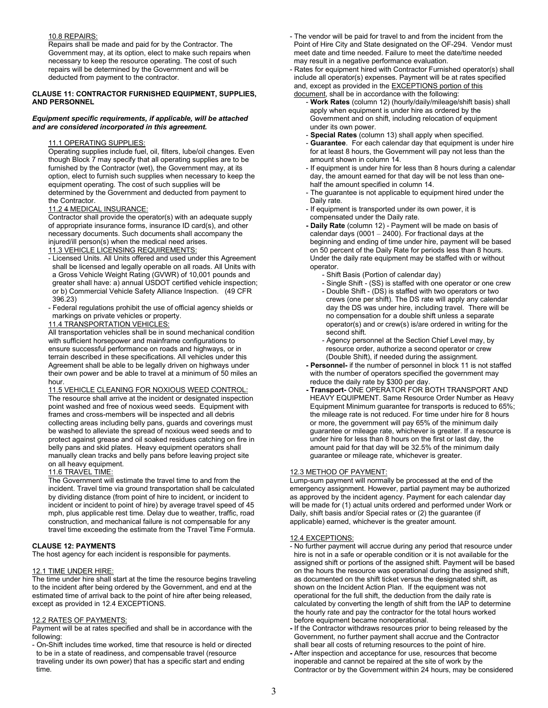## 10.8 REPAIRS:

Repairs shall be made and paid for by the Contractor. The Government may, at its option, elect to make such repairs when necessary to keep the resource operating. The cost of such repairs will be determined by the Government and will be deducted from payment to the contractor.

#### **CLAUSE 11: CONTRACTOR FURNISHED EQUIPMENT, SUPPLIES, AND PERSONNEL**

#### *Equipment specific requirements, if applicable, will be attached and are considered incorporated in this agreement.*

## 11.1 OPERATING SUPPLIES:

Operating supplies include fuel, oil, filters, lube/oil changes. Even though Block 7 may specify that all operating supplies are to be furnished by the Contractor (wet), the Government may, at its option, elect to furnish such supplies when necessary to keep the equipment operating. The cost of such supplies will be determined by the Government and deducted from payment to the Contractor.

## 11.2 4 MEDICAL INSURANCE:

Contractor shall provide the operator(s) with an adequate supply of appropriate insurance forms, insurance ID card(s), and other necessary documents. Such documents shall accompany the

- injured/ill person(s) when the medical need arises. 11.3 VEHICLE LICENSING REQUIREMENTS:
- Licensed Units. All Units offered and used under this Agreement shall be licensed and legally operable on all roads. All Units with a Gross Vehicle Weight Rating (GVWR) of 10,001 pounds and greater shall have: a) annual USDOT certified vehicle inspection;
- or b) Commercial Vehicle Safety Alliance Inspection. (49 CFR 396.23)
- Federal regulations prohibit the use of official agency shields or markings on private vehicles or property.
- 11.4 TRANSPORTATION VEHICLES:

All transportation vehicles shall be in sound mechanical condition with sufficient horsepower and mainframe configurations to ensure successful performance on roads and highways, or in terrain described in these specifications. All vehicles under this Agreement shall be able to be legally driven on highways under their own power and be able to travel at a minimum of 50 miles an hour.

11.5 VEHICLE CLEANING FOR NOXIOUS WEED CONTROL: The resource shall arrive at the incident or designated inspection point washed and free of noxious weed seeds. Equipment with frames and cross-members will be inspected and all debris collecting areas including belly pans, guards and coverings must be washed to alleviate the spread of noxious weed seeds and to protect against grease and oil soaked residues catching on fire in belly pans and skid plates. Heavy equipment operators shall manually clean tracks and belly pans before leaving project site on all heavy equipment.

## 11.6 TRAVEL TIME:

The Government will estimate the travel time to and from the incident. Travel time via ground transportation shall be calculated by dividing distance (from point of hire to incident, or incident to incident or incident to point of hire) by average travel speed of 45 mph, plus applicable rest time. Delay due to weather, traffic, road construction, and mechanical failure is not compensable for any travel time exceeding the estimate from the Travel Time Formula.

## **CLAUSE 12: PAYMENTS**

The host agency for each incident is responsible for payments.

## 12.1 TIME UNDER HIRE:

The time under hire shall start at the time the resource begins traveling to the incident after being ordered by the Government, and end at the estimated time of arrival back to the point of hire after being released, except as provided in 12.4 EXCEPTIONS.

## 12.2 RATES OF PAYMENTS:

Payment will be at rates specified and shall be in accordance with the following:

- On-Shift includes time worked, time that resource is held or directed to be in a state of readiness, and compensable travel (resource traveling under its own power) that has a specific start and ending time.

- The vendor will be paid for travel to and from the incident from the Point of Hire City and State designated on the OF-294. Vendor must meet date and time needed. Failure to meet the date/time needed may result in a negative performance evaluation.
- Rates for equipment hired with Contractor Furnished operator(s) shall include all operator(s) expenses. Payment will be at rates specified and, except as provided in the **EXCEPTIONS** portion of this document, shall be in accordance with the following:
	- **Work Rates** (column 12) (hourly/daily/mileage/shift basis) shall apply when equipment is under hire as ordered by the Government and on shift, including relocation of equipment under its own power.
	- **Special Rates** (column 13) shall apply when specified.
	- **Guarantee**. For each calendar day that equipment is under hire for at least 8 hours, the Government will pay not less than the amount shown in column 14.
	- If equipment is under hire for less than 8 hours during a calendar day, the amount earned for that day will be not less than onehalf the amount specified in column 14.
	- The guarantee is not applicable to equipment hired under the Daily rate.
	- If equipment is transported under its own power, it is compensated under the Daily rate.
	- **Daily Rate** (column 12) Payment will be made on basis of calendar days (0001 – 2400). For fractional days at the beginning and ending of time under hire, payment will be based on 50 percent of the Daily Rate for periods less than 8 hours. Under the daily rate equipment may be staffed with or without operator.
		- Shift Basis (Portion of calendar day)
		- Single Shift (SS) is staffed with one operator or one crew
		- Double Shift (DS) is staffed with two operators or two crews (one per shift). The DS rate will apply any calendar day the DS was under hire, including travel. There will be no compensation for a double shift unless a separate operator(s) and or crew(s) is/are ordered in writing for the second shift.
		- Agency personnel at the Section Chief Level may, by resource order, authorize a second operator or crew (Double Shift), if needed during the assignment.
	- **Personnel-** if the number of personnel in block 11 is not staffed with the number of operators specified the government may reduce the daily rate by \$300 per day.
	- **Transport-** ONE OPERATOR FOR BOTH TRANSPORT AND HEAVY EQUIPMENT. Same Resource Order Number as Heavy Equipment Minimum guarantee for transports is reduced to 65%; the mileage rate is not reduced. For time under hire for 8 hours or more, the government will pay 65% of the minimum daily guarantee or mileage rate, whichever is greater. If a resource is under hire for less than 8 hours on the first or last day, the amount paid for that day will be 32.5% of the minimum daily guarantee or mileage rate, whichever is greater.

## 12.3 METHOD OF PAYMENT:

Lump-sum payment will normally be processed at the end of the emergency assignment. However, partial payment may be authorized as approved by the incident agency. Payment for each calendar day will be made for (1) actual units ordered and performed under Work or Daily, shift basis and/or Special rates or (2) the guarantee (if applicable) earned, whichever is the greater amount.

## 12.4 EXCEPTIONS:

- No further payment will accrue during any period that resource under hire is not in a safe or operable condition or it is not available for the assigned shift or portions of the assigned shift. Payment will be based on the hours the resource was operational during the assigned shift, as documented on the shift ticket versus the designated shift, as shown on the Incident Action Plan. If the equipment was not operational for the full shift, the deduction from the daily rate is calculated by converting the length of shift from the IAP to determine the hourly rate and pay the contractor for the total hours worked before equipment became nonoperational.
- If the Contractor withdraws resources prior to being released by the Government, no further payment shall accrue and the Contractor shall bear all costs of returning resources to the point of hire.
- After inspection and acceptance for use, resources that become inoperable and cannot be repaired at the site of work by the Contractor or by the Government within 24 hours, may be considered